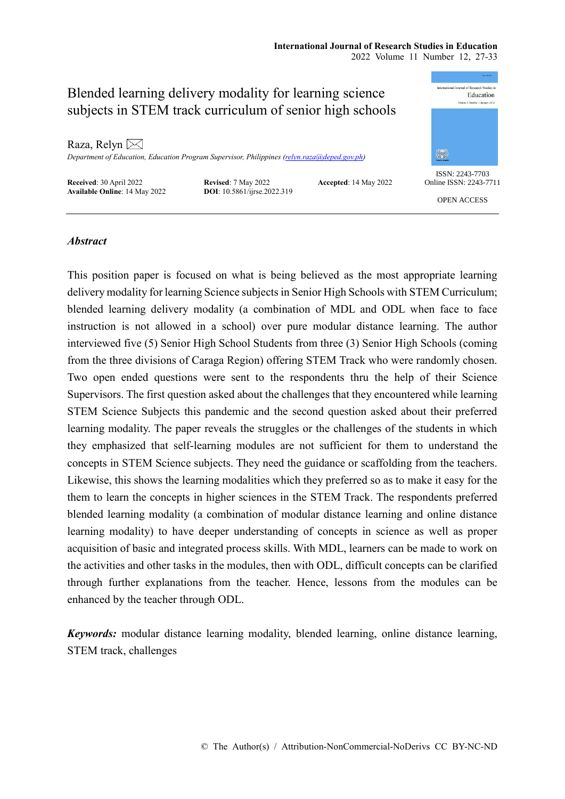#### **International Journal of Research Studies in Education** 2022 Volume 11 Number 12, 27-33

International Journal of Receptib. Studies in Blended learning delivery modality for learning science Education subjects in STEM track curriculum of senior high schools Raza, Relyn  $\boxtimes$ 鑑 *Department of Education, Education Program Supervisor, Philippines [\(relyn.raza@deped.gov.ph\)](mailto:relyn.raza@deped.gov.ph)* ISSN: 2243-7703 **Received**: 30 April 2022<br> **Revised**: 7 May 2022<br> **Accepted**: 14 May 2022<br> **DOI**: 10.5861/ijrse.2022.319<br> **Accepted**: 14 May 2022 Online ISSN: 2243-7711 **Available Online**: 14 May 2022. OPEN ACCESS

### *Abstract*

This position paper is focused on what is being believed as the most appropriate learning delivery modality for learning Science subjects in Senior High Schools with STEM Curriculum; blended learning delivery modality (a combination of MDL and ODL when face to face instruction is not allowed in a school) over pure modular distance learning. The author interviewed five (5) Senior High School Students from three (3) Senior High Schools (coming from the three divisions of Caraga Region) offering STEM Track who were randomly chosen. Two open ended questions were sent to the respondents thru the help of their Science Supervisors. The first question asked about the challenges that they encountered while learning STEM Science Subjects this pandemic and the second question asked about their preferred learning modality. The paper reveals the struggles or the challenges of the students in which they emphasized that self-learning modules are not sufficient for them to understand the concepts in STEM Science subjects. They need the guidance or scaffolding from the teachers. Likewise, this shows the learning modalities which they preferred so as to make it easy for the them to learn the concepts in higher sciences in the STEM Track. The respondents preferred blended learning modality (a combination of modular distance learning and online distance learning modality) to have deeper understanding of concepts in science as well as proper acquisition of basic and integrated process skills. With MDL, learners can be made to work on the activities and other tasks in the modules, then with ODL, difficult concepts can be clarified through further explanations from the teacher. Hence, lessons from the modules can be enhanced by the teacher through ODL.

*Keywords:* modular distance learning modality, blended learning, online distance learning, STEM track, challenges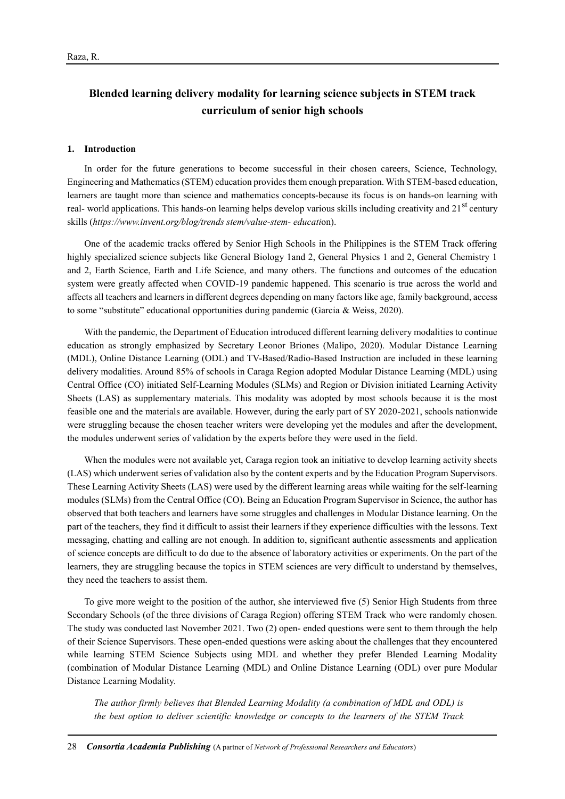# **Blended learning delivery modality for learning science subjects in STEM track curriculum of senior high schools**

#### **1. Introduction**

In order for the future generations to become successful in their chosen careers, Science, Technology, Engineering and Mathematics (STEM) education provides them enough preparation. With STEM-based education, learners are taught more than science and mathematics concepts-because its focus is on hands-on learning with real- world applications. This hands-on learning helps develop various skills including creativity and 21<sup>st</sup> century skills (*https://www.invent.org/blog/trends stem/value-stem- educati*on).

One of the academic tracks offered by Senior High Schools in the Philippines is the STEM Track offering highly specialized science subjects like General Biology 1and 2, General Physics 1 and 2, General Chemistry 1 and 2, Earth Science, Earth and Life Science, and many others. The functions and outcomes of the education system were greatly affected when COVID-19 pandemic happened. This scenario is true across the world and affects all teachers and learners in different degrees depending on many factors like age, family background, access to some "substitute" educational opportunities during pandemic (Garcia & Weiss, 2020).

With the pandemic, the Department of Education introduced different learning delivery modalities to continue education as strongly emphasized by Secretary Leonor Briones (Malipo, 2020). Modular Distance Learning (MDL), Online Distance Learning (ODL) and TV-Based/Radio-Based Instruction are included in these learning delivery modalities. Around 85% of schools in Caraga Region adopted Modular Distance Learning (MDL) using Central Office (CO) initiated Self-Learning Modules (SLMs) and Region or Division initiated Learning Activity Sheets (LAS) as supplementary materials. This modality was adopted by most schools because it is the most feasible one and the materials are available. However, during the early part of SY 2020-2021, schools nationwide were struggling because the chosen teacher writers were developing yet the modules and after the development, the modules underwent series of validation by the experts before they were used in the field.

When the modules were not available yet, Caraga region took an initiative to develop learning activity sheets (LAS) which underwent series of validation also by the content experts and by the Education Program Supervisors. These Learning Activity Sheets (LAS) were used by the different learning areas while waiting for the self-learning modules (SLMs) from the Central Office (CO). Being an Education Program Supervisor in Science, the author has observed that both teachers and learners have some struggles and challenges in Modular Distance learning. On the part of the teachers, they find it difficult to assist their learners if they experience difficulties with the lessons. Text messaging, chatting and calling are not enough. In addition to, significant authentic assessments and application of science concepts are difficult to do due to the absence of laboratory activities or experiments. On the part of the learners, they are struggling because the topics in STEM sciences are very difficult to understand by themselves, they need the teachers to assist them.

To give more weight to the position of the author, she interviewed five (5) Senior High Students from three Secondary Schools (of the three divisions of Caraga Region) offering STEM Track who were randomly chosen. The study was conducted last November 2021. Two (2) open- ended questions were sent to them through the help of their Science Supervisors. These open-ended questions were asking about the challenges that they encountered while learning STEM Science Subjects using MDL and whether they prefer Blended Learning Modality (combination of Modular Distance Learning (MDL) and Online Distance Learning (ODL) over pure Modular Distance Learning Modality.

*The author firmly believes that Blended Learning Modality (a combination of MDL and ODL) is the best option to deliver scientific knowledge or concepts to the learners of the STEM Track*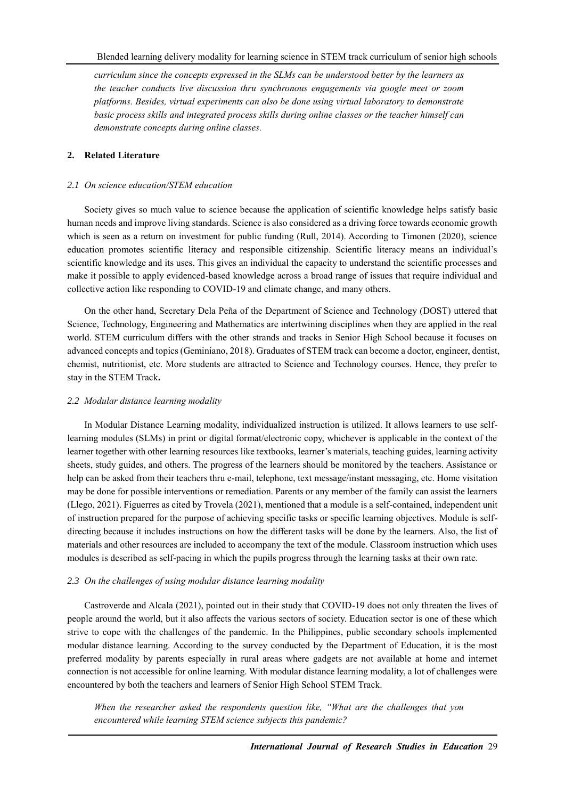*curriculum since the concepts expressed in the SLMs can be understood better by the learners as the teacher conducts live discussion thru synchronous engagements via google meet or zoom platforms. Besides, virtual experiments can also be done using virtual laboratory to demonstrate basic process skills and integrated process skills during online classes or the teacher himself can demonstrate concepts during online classes.* 

### **2. Related Literature**

#### *2.1 On science education/STEM education*

Society gives so much value to science because the application of scientific knowledge helps satisfy basic human needs and improve living standards. Science is also considered as a driving force towards economic growth which is seen as a return on investment for public funding (Rull, 2014). According to Timonen (2020), science education promotes scientific literacy and responsible citizenship. Scientific literacy means an individual's scientific knowledge and its uses. This gives an individual the capacity to understand the scientific processes and make it possible to apply evidenced-based knowledge across a broad range of issues that require individual and collective action like responding to COVID-19 and climate change, and many others.

On the other hand, Secretary Dela Peña of the Department of Science and Technology (DOST) uttered that Science, Technology, Engineering and Mathematics are intertwining disciplines when they are applied in the real world. STEM curriculum differs with the other strands and tracks in Senior High School because it focuses on advanced concepts and topics (Geminiano, 2018). Graduates of STEM track can become a doctor, engineer, dentist, chemist, nutritionist, etc. More students are attracted to Science and Technology courses. Hence, they prefer to stay in the STEM Track**.** 

### *2.2 Modular distance learning modality*

In Modular Distance Learning modality, individualized instruction is utilized. It allows learners to use selflearning modules (SLMs) in print or digital format/electronic copy, whichever is applicable in the context of the learner together with other learning resources like textbooks, learner's materials, teaching guides, learning activity sheets, study guides, and others. The progress of the learners should be monitored by the teachers. Assistance or help can be asked from their teachers thru e-mail, telephone, text message/instant messaging, etc. Home visitation may be done for possible interventions or remediation. Parents or any member of the family can assist the learners (Llego, 2021). Figuerres as cited by Trovela (2021), mentioned that a module is a self-contained, independent unit of instruction prepared for the purpose of achieving specific tasks or specific learning objectives. Module is selfdirecting because it includes instructions on how the different tasks will be done by the learners. Also, the list of materials and other resources are included to accompany the text of the module. Classroom instruction which uses modules is described as self-pacing in which the pupils progress through the learning tasks at their own rate.

### *2.3 On the challenges of using modular distance learning modality*

Castroverde and Alcala (2021), pointed out in their study that COVID-19 does not only threaten the lives of people around the world, but it also affects the various sectors of society. Education sector is one of these which strive to cope with the challenges of the pandemic. In the Philippines, public secondary schools implemented modular distance learning. According to the survey conducted by the Department of Education, it is the most preferred modality by parents especially in rural areas where gadgets are not available at home and internet connection is not accessible for online learning. With modular distance learning modality, a lot of challenges were encountered by both the teachers and learners of Senior High School STEM Track.

*When the researcher asked the respondents question like, "What are the challenges that you encountered while learning STEM science subjects this pandemic?*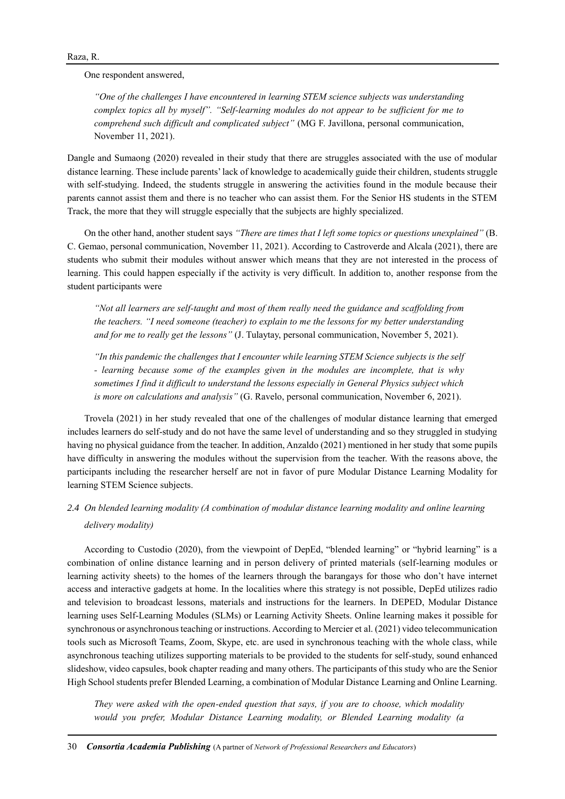#### Raza, R.

One respondent answered,

*"One of the challenges I have encountered in learning STEM science subjects was understanding complex topics all by myself". "Self-learning modules do not appear to be sufficient for me to comprehend such difficult and complicated subject"* (MG F. Javillona, personal communication, November 11, 2021).

Dangle and Sumaong (2020) revealed in their study that there are struggles associated with the use of modular distance learning. These include parents' lack of knowledge to academically guide their children, students struggle with self-studying. Indeed, the students struggle in answering the activities found in the module because their parents cannot assist them and there is no teacher who can assist them. For the Senior HS students in the STEM Track, the more that they will struggle especially that the subjects are highly specialized.

On the other hand, another student says *"There are times that I left some topics or questions unexplained"* (B. C. Gemao, personal communication, November 11, 2021). According to Castroverde and Alcala (2021), there are students who submit their modules without answer which means that they are not interested in the process of learning. This could happen especially if the activity is very difficult. In addition to, another response from the student participants were

*"Not all learners are self-taught and most of them really need the guidance and scaffolding from the teachers. "I need someone (teacher) to explain to me the lessons for my better understanding and for me to really get the lessons"* (J. Tulaytay, personal communication, November 5, 2021).

*"In this pandemic the challenges that I encounter while learning STEM Science subjects is the self - learning because some of the examples given in the modules are incomplete, that is why sometimes I find it difficult to understand the lessons especially in General Physics subject which is more on calculations and analysis"* (G. Ravelo, personal communication, November 6, 2021).

Trovela (2021) in her study revealed that one of the challenges of modular distance learning that emerged includes learners do self-study and do not have the same level of understanding and so they struggled in studying having no physical guidance from the teacher. In addition, Anzaldo (2021) mentioned in her study that some pupils have difficulty in answering the modules without the supervision from the teacher. With the reasons above, the participants including the researcher herself are not in favor of pure Modular Distance Learning Modality for learning STEM Science subjects.

## *2.4 On blended learning modality (A combination of modular distance learning modality and online learning delivery modality)*

According to Custodio (2020), from the viewpoint of DepEd, "blended learning" or "hybrid learning" is a combination of online distance learning and in person delivery of printed materials (self-learning modules or learning activity sheets) to the homes of the learners through the barangays for those who don't have internet access and interactive gadgets at home. In the localities where this strategy is not possible, DepEd utilizes radio and television to broadcast lessons, materials and instructions for the learners. In DEPED, Modular Distance learning uses Self-Learning Modules (SLMs) or Learning Activity Sheets. Online learning makes it possible for synchronous or asynchronous teaching or instructions. According to Mercier et al. (2021) video telecommunication tools such as Microsoft Teams, Zoom, Skype, etc. are used in synchronous teaching with the whole class, while asynchronous teaching utilizes supporting materials to be provided to the students for self-study, sound enhanced slideshow, video capsules, book chapter reading and many others. The participants of this study who are the Senior High School students prefer Blended Learning, a combination of Modular Distance Learning and Online Learning.

*They were asked with the open-ended question that says, if you are to choose, which modality would you prefer, Modular Distance Learning modality, or Blended Learning modality (a*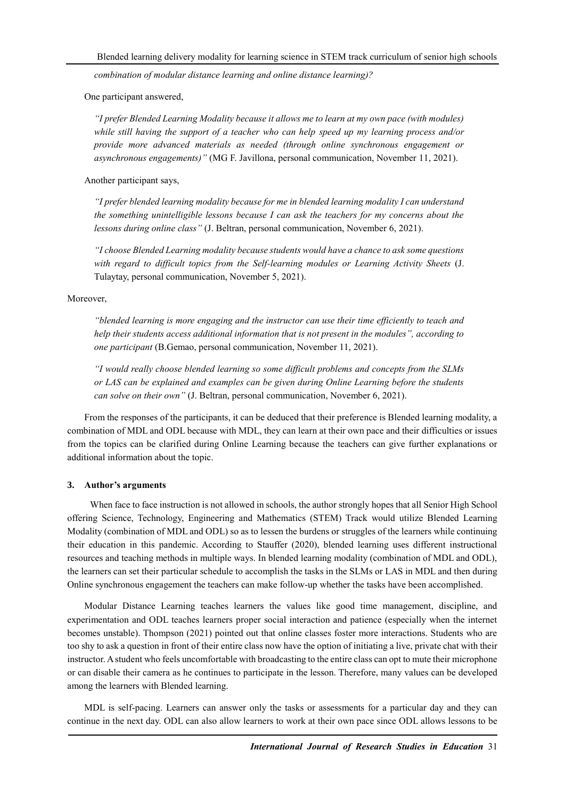*combination of modular distance learning and online distance learning)?* 

One participant answered,

*"I prefer Blended Learning Modality because it allows me to learn at my own pace (with modules) while still having the support of a teacher who can help speed up my learning process and/or provide more advanced materials as needed (through online synchronous engagement or asynchronous engagements)"* (MG F. Javillona, personal communication, November 11, 2021).

Another participant says,

*"I prefer blended learning modality because for me in blended learning modality I can understand the something unintelligible lessons because I can ask the teachers for my concerns about the lessons during online class"* (J. Beltran, personal communication, November 6, 2021).

*"I choose Blended Learning modality because students would have a chance to ask some questions with regard to difficult topics from the Self-learning modules or Learning Activity Sheets* (J. Tulaytay, personal communication, November 5, 2021).

Moreover,

*"blended learning is more engaging and the instructor can use their time efficiently to teach and help their students access additional information that is not present in the modules", according to one participant* (B.Gemao, personal communication, November 11, 2021).

*"I would really choose blended learning so some difficult problems and concepts from the SLMs or LAS can be explained and examples can be given during Online Learning before the students can solve on their own"* (J. Beltran, personal communication, November 6, 2021).

From the responses of the participants, it can be deduced that their preference is Blended learning modality, a combination of MDL and ODL because with MDL, they can learn at their own pace and their difficulties or issues from the topics can be clarified during Online Learning because the teachers can give further explanations or additional information about the topic.

#### **3. Author's arguments**

When face to face instruction is not allowed in schools, the author strongly hopes that all Senior High School offering Science, Technology, Engineering and Mathematics (STEM) Track would utilize Blended Learning Modality (combination of MDL and ODL) so as to lessen the burdens or struggles of the learners while continuing their education in this pandemic. According to Stauffer (2020), blended learning uses different instructional resources and teaching methods in multiple ways. In blended learning modality (combination of MDL and ODL), the learners can set their particular schedule to accomplish the tasks in the SLMs or LAS in MDL and then during Online synchronous engagement the teachers can make follow-up whether the tasks have been accomplished.

Modular Distance Learning teaches learners the values like good time management, discipline, and experimentation and ODL teaches learners proper social interaction and patience (especially when the internet becomes unstable). Thompson (2021) pointed out that online classes foster more interactions. Students who are too shy to ask a question in front of their entire class now have the option of initiating a live, private chat with their instructor. A student who feels uncomfortable with broadcasting to the entire class can opt to mute their microphone or can disable their camera as he continues to participate in the lesson. Therefore, many values can be developed among the learners with Blended learning.

MDL is self-pacing. Learners can answer only the tasks or assessments for a particular day and they can continue in the next day. ODL can also allow learners to work at their own pace since ODL allows lessons to be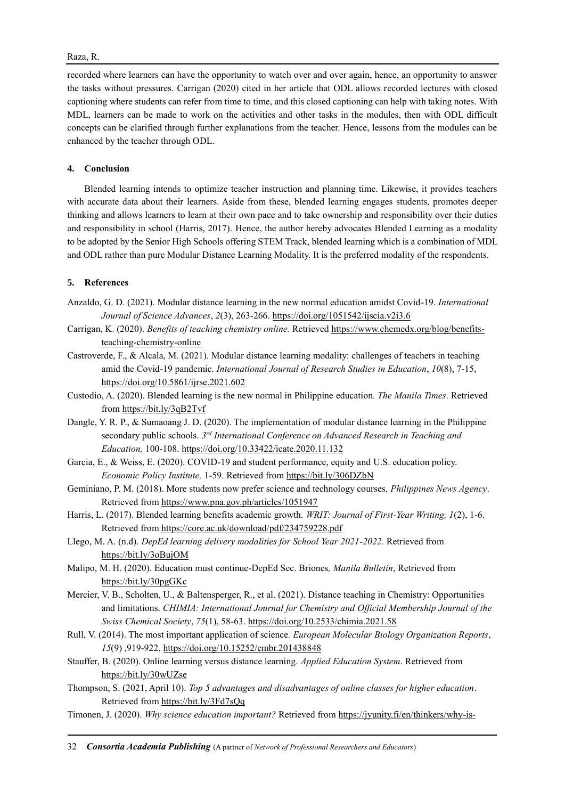#### Raza, R.

recorded where learners can have the opportunity to watch over and over again, hence, an opportunity to answer the tasks without pressures. Carrigan (2020) cited in her article that ODL allows recorded lectures with closed captioning where students can refer from time to time, and this closed captioning can help with taking notes. With MDL, learners can be made to work on the activities and other tasks in the modules, then with ODL difficult concepts can be clarified through further explanations from the teacher. Hence, lessons from the modules can be enhanced by the teacher through ODL.

#### **4. Conclusion**

Blended learning intends to optimize teacher instruction and planning time. Likewise, it provides teachers with accurate data about their learners. Aside from these, blended learning engages students, promotes deeper thinking and allows learners to learn at their own pace and to take ownership and responsibility over their duties and responsibility in school (Harris, 2017). Hence, the author hereby advocates Blended Learning as a modality to be adopted by the Senior High Schools offering STEM Track, blended learning which is a combination of MDL and ODL rather than pure Modular Distance Learning Modality. It is the preferred modality of the respondents.

#### **5. References**

- Anzaldo, G. D. (2021). Modular distance learning in the new normal education amidst Covid-19. *International Journal of Science Advances*, *2*(3), 263-266.<https://doi.org/1051542/ijscia.v2i3.6>
- Carrigan, K. (2020). *Benefits of teaching chemistry online.* Retrieved [https://www.chemedx.org/blog/benefits](https://www.chemedx.org/blog/benefits-teaching-chemistry-online)[teaching-chemistry-online](https://www.chemedx.org/blog/benefits-teaching-chemistry-online)
- Castroverde, F., & Alcala, M. (2021). Modular distance learning modality: challenges of teachers in teaching amid the Covid-19 pandemic. *International Journal of Research Studies in Education*, *10*(8), 7-15, <https://doi.org/10.5861/ijrse.2021.602>
- Custodio, A. (2020). Blended learning is the new normal in Philippine education. *The Manila Times*. Retrieved from<https://bit.ly/3qB2Tvf>
- Dangle, Y. R. P., & Sumaoang J. D. (2020). The implementation of modular distance learning in the Philippine secondary public schools. *3 rd International Conference on Advanced Research in Teaching and Education,* 100-108.<https://doi.org/10.33422/icate.2020.11.132>
- Garcia, E., & Weiss, E. (2020). COVID-19 and student performance, equity and U.S. education policy. *Economic Policy Institute,* 1-59. Retrieved from<https://bit.ly/306DZbN>
- Geminiano, P. M. (2018). More students now prefer science and technology courses. *Philippines News Agency*. Retrieved from<https://www.pna.gov.ph/articles/1051947>
- Harris, L. (2017). Blended learning benefits academic growth*. WRIT: Journal of First-Year Writing, 1*(2), 1-6. Retrieved from<https://core.ac.uk/download/pdf/234759228.pdf>
- Llego, M. A. (n.d). *DepEd learning delivery modalities for School Year 2021-2022.* Retrieved from <https://bit.ly/3oBujOM>
- Malipo, M. H. (2020). Education must continue-DepEd Sec. Briones*, Manila Bulletin*, Retrieved from <https://bit.ly/30pgGKc>
- Mercier, V. B., Scholten, U., & Baltensperger, R., et al. (2021). Distance teaching in Chemistry: Opportunities and limitations. *CHIMIA: International Journal for Chemistry and Official Membership Journal of the Swiss Chemical Society*, *75*(1), 58-63.<https://doi.org/10.2533/chimia.2021.58>
- Rull, V. (2014). The most important application of science*. European Molecular Biology Organization Reports*, *15*(9) ,919-922,<https://doi.org/10.15252/embr.201438848>
- Stauffer, B. (2020). Online learning versus distance learning. *Applied Education System*. Retrieved from <https://bit.ly/30wUZse>
- Thompson, S. (2021, April 10). *Top 5 advantages and disadvantages of online classes for higher education*. Retrieved from https://bit.ly/3Fd7sQq
- Timonen, J. (2020). *Why science education important?* Retrieved fro[m https://jyunity.fi/en/thinkers/why-is-](https://jyunity.fi/en/thinkers/why-is-science-education-important/)